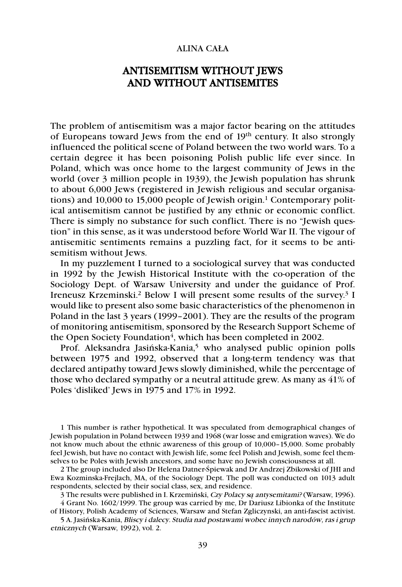## ALINA CAŁA

## ANTISEMITISM WITHOUT JEWS AND WITHOUT ANTISEMITES

The problem of antisemitism was a major factor bearing on the attitudes of Europeans toward Jews from the end of 19th century. It also strongly influenced the political scene of Poland between the two world wars. To a certain degree it has been poisoning Polish public life ever since. In Poland, which was once home to the largest community of Jews in the world (over 3 million people in 1939), the Jewish population has shrunk to about 6,000 Jews (registered in Jewish religious and secular organisations) and 10,000 to 15,000 people of Jewish origin.<sup>1</sup> Contemporary political antisemitism cannot be justified by any ethnic or economic conflict. There is simply no substance for such conflict. There is no "Jewish question" in this sense, as it was understood before World War II. The vigour of antisemitic sentiments remains a puzzling fact, for it seems to be antisemitism without Jews.

In my puzzlement I turned to a sociological survey that was conducted in 1992 by the Jewish Historical Institute with the co-operation of the Sociology Dept. of Warsaw University and under the guidance of Prof. Ireneusz Krzeminski.2 Below I will present some results of the survey.3 I would like to present also some basic characteristics of the phenomenon in Poland in the last 3 years (1999–2001). They are the results of the program of monitoring antisemitism, sponsored by the Research Support Scheme of the Open Society Foundation<sup>4</sup>, which has been completed in 2002.

Prof. Aleksandra Jasińska-Kania,<sup>5</sup> who analysed public opinion polls between 1975 and 1992, observed that a long-term tendency was that declared antipathy toward Jews slowly diminished, while the percentage of those who declared sympathy or a neutral attitude grew. As many as 41% of Poles 'disliked' Jews in 1975 and 17% in 1992.

1 This number is rather hypothetical. It was speculated from demographical changes of Jewish population in Poland between 1939 and 1968 (war losse and emigration waves). We do not know much about the ethnic awareness of this group of 10,000–15,000. Some probably feel Jewish, but have no contact with Jewish life, some feel Polish and Jewish, some feel themselves to be Poles with Jewish ancestors, and some have no Jewish consciousness at all.

2 The group included also Dr Helena Datner-Śpiewak and Dr Andrzej Zbikowski of JHI and Ewa Kozminska-Frejlach, MA, of the Sociology Dept. The poll was conducted on 1013 adult respondents, selected by their social class, sex, and residence.

3 The results were published in I. Krzemiński, Czy Polacy s*ą* antysemitami? (Warsaw, 1996). 4 Grant No. 1602/1999. The group was carried by me, Dr Dariusz Libionka of the Institute

of History, Polish Academy of Sciences, Warsaw and Stefan Zgliczynski, an anti-fascist activist. 5 A. Jasińska-Kania, Bliscy i dalecy. Studia nad postawami wobec innych narodów, ras i grup

etnicznych (Warsaw, 1992), vol. 2.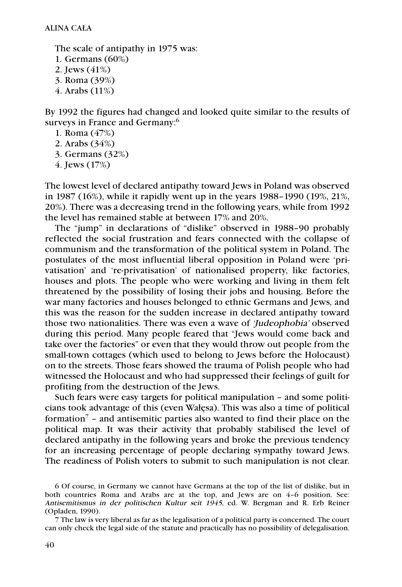The scale of antipathy in 1975 was: 1. Germans (60%) 2. Jews (41%) 3. Roma (39%) 4. Arabs (11%)

By 1992 the figures had changed and looked quite similar to the results of surveys in France and Germany: 6

1. Roma (47%)

2. Arabs (34%)

3. Germans (32%)

4. Jews (17%)

The lowest level of declared antipathy toward Jews in Poland was observed in 1987 (16%), while it rapidly went up in the years 1988–1990 (19%, 21%, 20%). There was a decreasing trend in the following years, while from 1992 the level has remained stable at between 17% and 20%.

The "jump" in declarations of "dislike" observed in 1988–90 probably reflected the social frustration and fears connected with the collapse of communism and the transformation of the political system in Poland. The postulates of the most influential liberal opposition in Poland were 'privatisation' and 're-privatisation' of nationalised property, like factories, houses and plots. The people who were working and living in them felt threatened by the possibility of losing their jobs and housing. Before the war many factories and houses belonged to ethnic Germans and Jews, and this was the reason for the sudden increase in declared antipathy toward those two nationalities. There was even a wave of 'Judeophobia' observed during this period. Many people feared that "Jews would come back and take over the factories" or even that they would throw out people from the small-town cottages (which used to belong to Jews before the Holocaust) on to the streets. Those fears showed the trauma of Polish people who had witnessed the Holocaust and who had suppressed their feelings of guilt for profiting from the destruction of the Jews.

Such fears were easy targets for political manipulation – and some politicians took advantage of this (even Wałęsa). This was also a time of political formation7 – and antisemitic parties also wanted to find their place on the political map. It was their activity that probably stabilised the level of declared antipathy in the following years and broke the previous tendency for an increasing percentage of people declaring sympathy toward Jews. The readiness of Polish voters to submit to such manipulation is not clear.

6 Of course, in Germany we cannot have Germans at the top of the list of dislike, but in both countries Roma and Arabs are at the top, and Jews are on 4–6 position. See: Antisemitismus in der politischen Kultur seit 1945, ed. W. Bergman and R. Erb Reiner (Opladen, 1990).

7 The law is very liberal as far as the legalisation of a political party is concerned. The court can only check the legal side of the statute and practically has no possibility of delegalisation.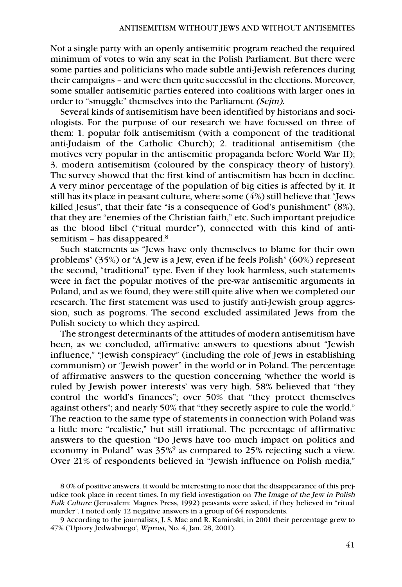Not a single party with an openly antisemitic program reached the required minimum of votes to win any seat in the Polish Parliament. But there were some parties and politicians who made subtle anti-Jewish references during their campaigns – and were then quite successful in the elections. Moreover, some smaller antisemitic parties entered into coalitions with larger ones in order to "smuggle" themselves into the Parliament (Sejm).

Several kinds of antisemitism have been identified by historians and sociologists. For the purpose of our research we have focussed on three of them: 1. popular folk antisemitism (with a component of the traditional anti-Judaism of the Catholic Church); 2. traditional antisemitism (the motives very popular in the antisemitic propaganda before World War II); 3. modern antisemitism (coloured by the conspiracy theory of history). The survey showed that the first kind of antisemitism has been in decline. A very minor percentage of the population of big cities is affected by it. It still has its place in peasant culture, where some (4%) still believe that "Jews killed Jesus", that their fate "is a consequence of God's punishment" (8%), that they are "enemies of the Christian faith," etc. Such important prejudice as the blood libel ("ritual murder"), connected with this kind of antisemitism - has disappeared.<sup>8</sup>

Such statements as "Jews have only themselves to blame for their own problems" (35%) or "A Jew is a Jew, even if he feels Polish" (60%) represent the second, "traditional" type. Even if they look harmless, such statements were in fact the popular motives of the pre-war antisemitic arguments in Poland, and as we found, they were still quite alive when we completed our research. The first statement was used to justify anti-Jewish group aggression, such as pogroms. The second excluded assimilated Jews from the Polish society to which they aspired.

The strongest determinants of the attitudes of modern antisemitism have been, as we concluded, affirmative answers to questions about "Jewish influence," "Jewish conspiracy" (including the role of Jews in establishing communism) or "Jewish power" in the world or in Poland. The percentage of affirmative answers to the question concerning 'whether the world is ruled by Jewish power interests' was very high. 58% believed that "they control the world's finances"; over 50% that "they protect themselves against others"; and nearly 50% that "they secretly aspire to rule the world." The reaction to the same type of statements in connection with Poland was a little more "realistic," but still irrational. The percentage of affirmative answers to the question "Do Jews have too much impact on politics and economy in Poland" was 35%<sup>9</sup> as compared to 25% rejecting such a view. Over 21% of respondents believed in "Jewish influence on Polish media,"

<sup>8 0%</sup> of positive answers. It would be interesting to note that the disappearance of this prejudice took place in recent times. In my field investigation on The Image of the Jew in Polish Folk Culture (Jerusalem: Magnes Press, 1992) peasants were asked, if they believed in "ritual murder". I noted only 12 negative answers in a group of 64 respondents.

<sup>9</sup> According to the journalists, J. S. Mac and R. Kaminski, in 2001 their percentage grew to 47% ('Upiory Jedwabnego', Wprost, No. 4, Jan. 28, 2001).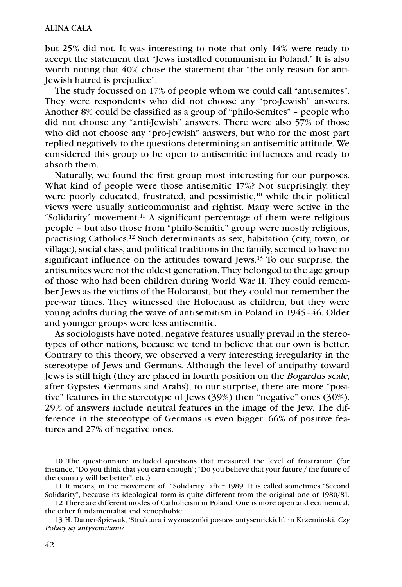but 25% did not. It was interesting to note that only 14% were ready to accept the statement that "Jews installed communism in Poland." It is also worth noting that 40% chose the statement that "the only reason for anti-Jewish hatred is prejudice".

The study focussed on 17% of people whom we could call "antisemites". They were respondents who did not choose any "pro-Jewish" answers. Another 8% could be classified as a group of "philo-Semites" – people who did not choose any "anti-Jewish" answers. There were also 57% of those who did not choose any "pro-Jewish" answers, but who for the most part replied negatively to the questions determining an antisemitic attitude. We considered this group to be open to antisemitic influences and ready to absorb them.

Naturally, we found the first group most interesting for our purposes. What kind of people were those antisemitic 17%? Not surprisingly, they were poorly educated, frustrated, and pessimistic,<sup>10</sup> while their political views were usually anticommunist and rightist. Many were active in the "Solidarity" movement.11 A significant percentage of them were religious people – but also those from "philo-Semitic" group were mostly religious, practising Catholics.12 Such determinants as sex, habitation (city, town, or village), social class, and political traditions in the family, seemed to have no significant influence on the attitudes toward Jews.13 To our surprise, the antisemites were not the oldest generation. They belonged to the age group of those who had been children during World War II. They could remember Jews as the victims of the Holocaust, but they could not remember the pre-war times. They witnessed the Holocaust as children, but they were young adults during the wave of antisemitism in Poland in 1945–46. Older and younger groups were less antisemitic.

As sociologists have noted, negative features usually prevail in the stereotypes of other nations, because we tend to believe that our own is better. Contrary to this theory, we observed a very interesting irregularity in the stereotype of Jews and Germans. Although the level of antipathy toward Jews is still high (they are placed in fourth position on the Bogardus scale, after Gypsies, Germans and Arabs), to our surprise, there are more "positive" features in the stereotype of Jews (39%) then "negative" ones (30%). 29% of answers include neutral features in the image of the Jew. The difference in the stereotype of Germans is even bigger: 66% of positive features and 27% of negative ones.

<sup>10</sup> The questionnaire included questions that measured the level of frustration (for instance, "Do you think that you earn enough"; "Do you believe that your future / the future of the country will be better", etc.).

<sup>11</sup> It means, in the movement of "Solidarity" after 1989. It is called sometimes "Second Solidarity", because its ideological form is quite different from the original one of 1980/81.

<sup>12</sup> There are different modes of Catholicism in Poland. One is more open and ecumenical, the other fundamentalist and xenophobic.

<sup>13</sup> H. Datner-Śpiewak, 'Struktura i wyznaczniki postaw antysemickich', in Krzemiński: Czy Polacy s*ą* antysemitami?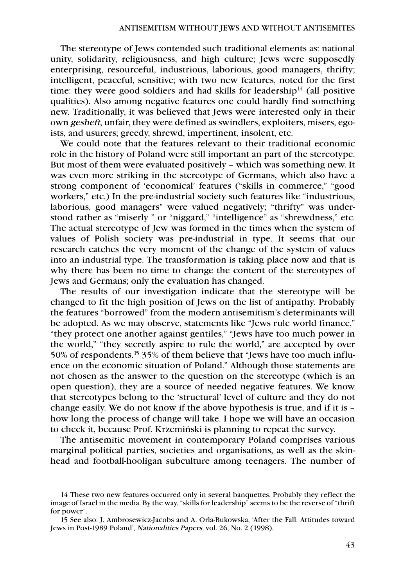The stereotype of Jews contended such traditional elements as: national unity, solidarity, religiousness, and high culture; Jews were supposedly enterprising, resourceful, industrious, laborious, good managers, thrifty; intelligent, peaceful, sensitive; with two new features, noted for the first time: they were good soldiers and had skills for leadership<sup>14</sup> (all positive qualities). Also among negative features one could hardly find something new. Traditionally, it was believed that Jews were interested only in their own gesheft, unfair, they were defined as swindlers, exploiters, misers, egoists, and usurers; greedy, shrewd, impertinent, insolent, etc.

We could note that the features relevant to their traditional economic role in the history of Poland were still important an part of the stereotype. But most of them were evaluated positively – which was something new. It was even more striking in the stereotype of Germans, which also have a strong component of 'economical' features ("skills in commerce," "good workers," etc.) In the pre-industrial society such features like "industrious, laborious, good managers" were valued negatively; "thrifty" was understood rather as "miserly " or "niggard," "intelligence" as "shrewdness," etc. The actual stereotype of Jew was formed in the times when the system of values of Polish society was pre-industrial in type. It seems that our research catches the very moment of the change of the system of values into an industrial type. The transformation is taking place now and that is why there has been no time to change the content of the stereotypes of Jews and Germans; only the evaluation has changed.

The results of our investigation indicate that the stereotype will be changed to fit the high position of Jews on the list of antipathy. Probably the features "borrowed" from the modern antisemitism's determinants will be adopted. As we may observe, statements like "Jews rule world finance," "they protect one another against gentiles," "Jews have too much power in the world," "they secretly aspire to rule the world," are accepted by over 50% of respondents.15 35% of them believe that "Jews have too much influence on the economic situation of Poland." Although those statements are not chosen as the answer to the question on the stereotype (which is an open question), they are a source of needed negative features. We know that stereotypes belong to the 'structural' level of culture and they do not change easily. We do not know if the above hypothesis is true, and if it is – how long the process of change will take. I hope we will have an occasion to check it, because Prof. Krzemiński is planning to repeat the survey.

The antisemitic movement in contemporary Poland comprises various marginal political parties, societies and organisations, as well as the skinhead and football-hooligan subculture among teenagers. The number of

<sup>14</sup> These two new features occurred only in several banquettes. Probably they reflect the image of Israel in the media. By the way, "skills for leadership" seems to be the reverse of "thrift for power".

<sup>15</sup> See also: J. Ambrosewicz-Jacobs and A. Orla-Bukowska, 'After the Fall: Attitudes toward Jews in Post-1989 Poland', Nationalities Papers, vol. 26, No. 2 (1998).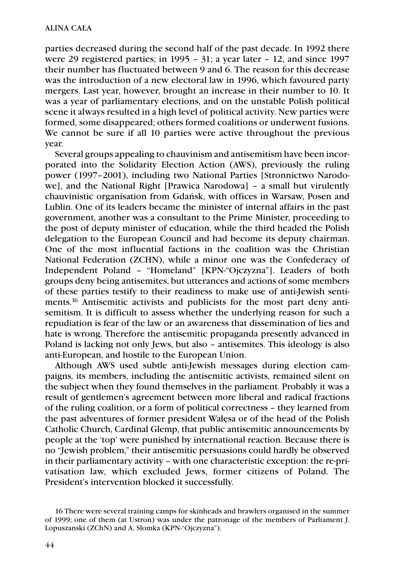parties decreased during the second half of the past decade. In 1992 there were 29 registered parties; in 1995 – 31; a year later – 12, and since 1997 their number has fluctuated between 9 and 6. The reason for this decrease was the introduction of a new electoral law in 1996, which favoured party mergers. Last year, however, brought an increase in their number to 10. It was a year of parliamentary elections, and on the unstable Polish political scene it always resulted in a high level of political activity. New parties were formed, some disappeared; others formed coalitions or underwent fusions. We cannot be sure if all 10 parties were active throughout the previous year.

Several groups appealing to chauvinism and antisemitism have been incorporated into the Solidarity Election Action (AWS), previously the ruling power (1997–2001), including two National Parties [Stronnictwo Narodowe], and the National Right [Prawica Narodowa] – a small but virulently chauvinistic organisation from Gdańsk, with offices in Warsaw, Posen and Lublin. One of its leaders became the minister of internal affairs in the past government, another was a consultant to the Prime Minister, proceeding to the post of deputy minister of education, while the third headed the Polish delegation to the European Council and had become its deputy chairman. One of the most influential factions in the coalition was the Christian National Federation (ZCHN), while a minor one was the Confederacy of Independent Poland – "Homeland" [KPN-"Ojczyzna"]. Leaders of both groups deny being antisemites, but utterances and actions of some members of these parties testify to their readiness to make use of anti-Jewish sentiments.<sup>16</sup> Antisemitic activists and publicists for the most part deny antisemitism. It is difficult to assess whether the underlying reason for such a repudiation is fear of the law or an awareness that dissemination of lies and hate is wrong. Therefore the antisemitic propaganda presently advanced in Poland is lacking not only Jews, but also – antisemites. This ideology is also anti-European, and hostile to the European Union.

Although AWS used subtle anti-Jewish messages during election campaigns, its members, including the antisemitic activists, remained silent on the subject when they found themselves in the parliament. Probably it was a result of gentlemen's agreement between more liberal and radical fractions of the ruling coalition, or a form of political correctness – they learned from the past adventures of former president Wałęsa or of the head of the Polish Catholic Church, Cardinal Glemp, that public antisemitic announcements by people at the 'top' were punished by international reaction. Because there is no "Jewish problem," their antisemitic persuasions could hardly be observed in their parliamentary activity – with one characteristic exception: the re-privatisation law, which excluded Jews, former citizens of Poland. The President's intervention blocked it successfully.

<sup>16</sup> There were several training camps for skinheads and brawlers organised in the summer of 1999; one of them (at Ustron) was under the patronage of the members of Parliament J. Lopuszanski (ZChN) and A. Slomka (KPN-"Ojczyzna").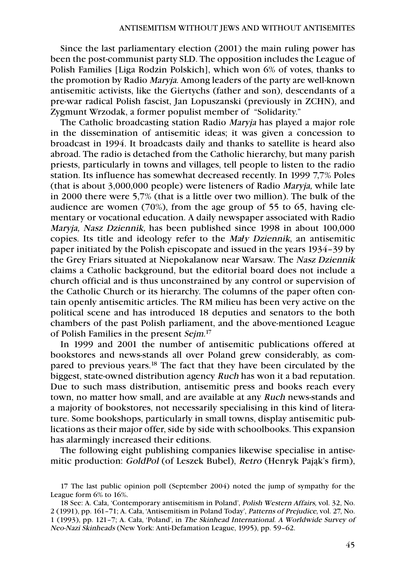Since the last parliamentary election (2001) the main ruling power has been the post-communist party SLD. The opposition includes the League of Polish Families [Liga Rodzin Polskich], which won 6% of votes, thanks to the promotion by Radio Maryja. Among leaders of the party are well-known antisemitic activists, like the Giertychs (father and son), descendants of a pre-war radical Polish fascist, Jan Lopuszanski (previously in ZCHN), and Zygmunt Wrzodak, a former populist member of "Solidarity."

The Catholic broadcasting station Radio Maryja has played a major role in the dissemination of antisemitic ideas; it was given a concession to broadcast in 1994. It broadcasts daily and thanks to satellite is heard also abroad. The radio is detached from the Catholic hierarchy, but many parish priests, particularly in towns and villages, tell people to listen to the radio station. Its influence has somewhat decreased recently. In 1999 7,7% Poles (that is about 3,000,000 people) were listeners of Radio Maryja, while late in 2000 there were 5,7% (that is a little over two million). The bulk of the audience are women (70%), from the age group of 55 to 65, having elementary or vocational education. A daily newspaper associated with Radio Maryja, Nasz Dziennik, has been published since 1998 in about 100,000 copies. Its title and ideology refer to the Ma*ł*y Dziennik, an antisemitic paper initiated by the Polish episcopate and issued in the years 1934–39 by the Grey Friars situated at Niepokalanow near Warsaw. The Nasz Dziennik claims a Catholic background, but the editorial board does not include a church official and is thus unconstrained by any control or supervision of the Catholic Church or its hierarchy. The columns of the paper often contain openly antisemitic articles. The RM milieu has been very active on the political scene and has introduced 18 deputies and senators to the both chambers of the past Polish parliament, and the above-mentioned League of Polish Families in the present Sejm.<sup>17</sup>

In 1999 and 2001 the number of antisemitic publications offered at bookstores and news-stands all over Poland grew considerably, as compared to previous years.<sup>18</sup> The fact that they have been circulated by the biggest, state-owned distribution agency Ruch has won it a bad reputation. Due to such mass distribution, antisemitic press and books reach every town, no matter how small, and are available at any Ruch news-stands and a majority of bookstores, not necessarily specialising in this kind of literature. Some bookshops, particularly in small towns, display antisemitic publications as their major offer, side by side with schoolbooks. This expansion has alarmingly increased their editions.

The following eight publishing companies likewise specialise in antisemitic production: GoldPol (of Leszek Bubel), Retro (Henryk Pająk's firm),

17 The last public opinion poll (September 2004) noted the jump of sympathy for the League form 6% to 16%.

<sup>18</sup> See: A. Cała, 'Contemporary antisemitism in Poland', Polish Western Affairs, vol. 32, No. 2 (1991), pp. 161–71; A. Cała, 'Antisemitism in Poland Today', Patterns of Prejudice, vol. 27, No. 1 (1993), pp. 121–7; A. Cała, 'Poland', in The Skinhead International. A Worldwide Survey of Neo-Nazi Skinheads (New York: Anti-Defamation League, 1995), pp. 59–62.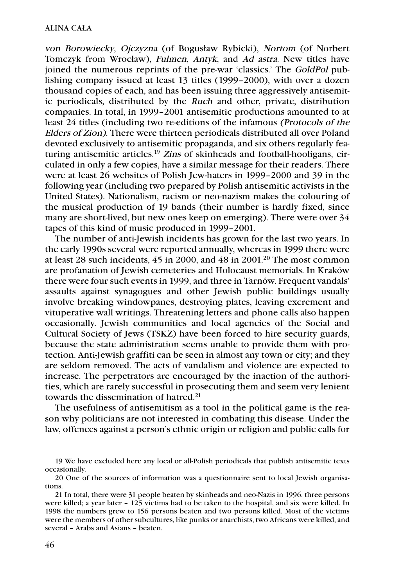von Borowiecky, Ojczyzna (of Bogusław Rybicki), Nortom (of Norbert Tomczyk from Wrocław), Fulmen, Antyk, and Ad astra. New titles have joined the numerous reprints of the pre-war 'classics.' The GoldPol publishing company issued at least 13 titles (1999–2000), with over a dozen thousand copies of each, and has been issuing three aggressively antisemitic periodicals, distributed by the Ruch and other, private, distribution companies. In total, in 1999–2001 antisemitic productions amounted to at least 24 titles (including two re-editions of the infamous (Protocols of the Elders of Zion). There were thirteen periodicals distributed all over Poland devoted exclusively to antisemitic propaganda, and six others regularly featuring antisemitic articles.<sup>19</sup> Zins of skinheads and football-hooligans, circulated in only a few copies, have a similar message for their readers. There were at least 26 websites of Polish Jew-haters in 1999–2000 and 39 in the following year (including two prepared by Polish antisemitic activists in the United States). Nationalism, racism or neo-nazism makes the colouring of the musical production of 19 bands (their number is hardly fixed, since many are short-lived, but new ones keep on emerging). There were over 34 tapes of this kind of music produced in 1999–2001.

The number of anti-Jewish incidents has grown for the last two years. In the early 1990s several were reported annually, whereas in 1999 there were at least 28 such incidents, 45 in 2000, and 48 in 2001. <sup>20</sup> The most common are profanation of Jewish cemeteries and Holocaust memorials. In Kraków there were four such events in 1999, and three in Tarnów. Frequent vandals' assaults against synagogues and other Jewish public buildings usually involve breaking windowpanes, destroying plates, leaving excrement and vituperative wall writings. Threatening letters and phone calls also happen occasionally. Jewish communities and local agencies of the Social and Cultural Society of Jews (TSKZ) have been forced to hire security guards, because the state administration seems unable to provide them with protection. Anti-Jewish graffiti can be seen in almost any town or city; and they are seldom removed. The acts of vandalism and violence are expected to increase. The perpetrators are encouraged by the inaction of the authorities, which are rarely successful in prosecuting them and seem very lenient towards the dissemination of hatred.<sup>21</sup>

The usefulness of antisemitism as a tool in the political game is the reason why politicians are not interested in combating this disease. Under the law, offences against a person's ethnic origin or religion and public calls for

<sup>19</sup> We have excluded here any local or all-Polish periodicals that publish antisemitic texts occasionally.

<sup>20</sup> One of the sources of information was a questionnaire sent to local Jewish organisations.

<sup>21</sup> In total, there were 31 people beaten by skinheads and neo-Nazis in 1996, three persons were killed; a year later – 125 victims had to be taken to the hospital, and six were killed. In 1998 the numbers grew to 156 persons beaten and two persons killed. Most of the victims were the members of other subcultures, like punks or anarchists, two Africans were killed, and several – Arabs and Asians – beaten.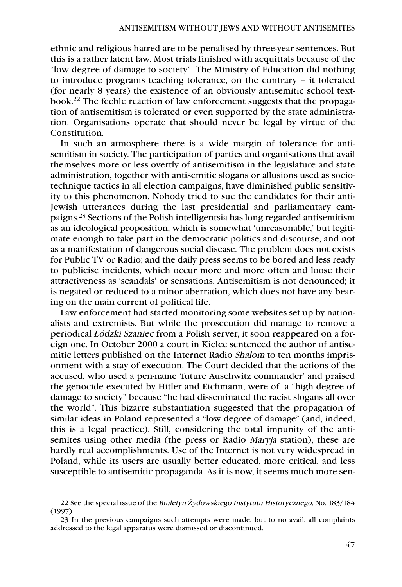ethnic and religious hatred are to be penalised by three-year sentences. But this is a rather latent law. Most trials finished with acquittals because of the "low degree of damage to society". The Ministry of Education did nothing to introduce programs teaching tolerance, on the contrary – it tolerated (for nearly 8 years) the existence of an obviously antisemitic school textbook. <sup>22</sup> The feeble reaction of law enforcement suggests that the propagation of antisemitism is tolerated or even supported by the state administration. Organisations operate that should never be legal by virtue of the Constitution.

In such an atmosphere there is a wide margin of tolerance for antisemitism in society. The participation of parties and organisations that avail themselves more or less overtly of antisemitism in the legislature and state administration, together with antisemitic slogans or allusions used as sociotechnique tactics in all election campaigns, have diminished public sensitivity to this phenomenon. Nobody tried to sue the candidates for their anti-Jewish utterances during the last presidential and parliamentary campaigns.23 Sections of the Polish intelligentsia has long regarded antisemitism as an ideological proposition, which is somewhat 'unreasonable,' but legitimate enough to take part in the democratic politics and discourse, and not as a manifestation of dangerous social disease. The problem does not exists for Public TV or Radio; and the daily press seems to be bored and less ready to publicise incidents, which occur more and more often and loose their attractiveness as 'scandals' or sensations. Antisemitism is not denounced; it is negated or reduced to a minor aberration, which does not have any bearing on the main current of political life.

Law enforcement had started monitoring some websites set up by nationalists and extremists. But while the prosecution did manage to remove a periodical *Ł*ódzki Szaniec from a Polish server, it soon reappeared on a foreign one. In October 2000 a court in Kielce sentenced the author of antisemitic letters published on the Internet Radio Shalom to ten months imprisonment with a stay of execution. The Court decided that the actions of the accused, who used a pen-name 'future Auschwitz commander' and praised the genocide executed by Hitler and Eichmann, were of a "high degree of damage to society" because "he had disseminated the racist slogans all over the world". This bizarre substantiation suggested that the propagation of similar ideas in Poland represented a "low degree of damage" (and, indeed, this is a legal practice). Still, considering the total impunity of the antisemites using other media (the press or Radio Maryja station), these are hardly real accomplishments. Use of the Internet is not very widespread in Poland, while its users are usually better educated, more critical, and less susceptible to antisemitic propaganda. As it is now, it seems much more sen-

<sup>22</sup> See the special issue of the Biuletyn *Ż*ydowskiego Instytutu Historycznego, No. 183/184 (1997).

<sup>23</sup> In the previous campaigns such attempts were made, but to no avail; all complaints addressed to the legal apparatus were dismissed or discontinued.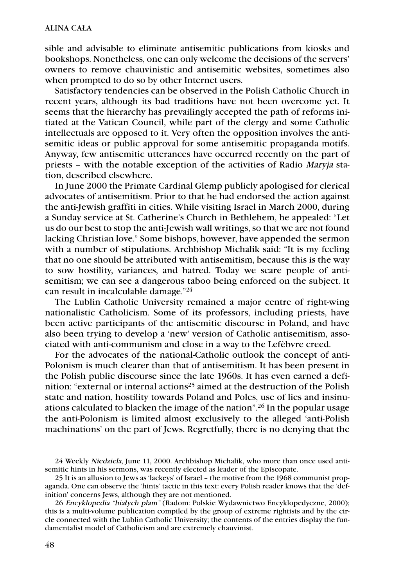sible and advisable to eliminate antisemitic publications from kiosks and bookshops. Nonetheless, one can only welcome the decisions of the servers' owners to remove chauvinistic and antisemitic websites, sometimes also when prompted to do so by other Internet users.

Satisfactory tendencies can be observed in the Polish Catholic Church in recent years, although its bad traditions have not been overcome yet. It seems that the hierarchy has prevailingly accepted the path of reforms initiated at the Vatican Council, while part of the clergy and some Catholic intellectuals are opposed to it. Very often the opposition involves the antisemitic ideas or public approval for some antisemitic propaganda motifs. Anyway, few antisemitic utterances have occurred recently on the part of priests – with the notable exception of the activities of Radio Maryja station, described elsewhere.

In June 2000 the Primate Cardinal Glemp publicly apologised for clerical advocates of antisemitism. Prior to that he had endorsed the action against the anti-Jewish graffiti in cities. While visiting Israel in March 2000, during a Sunday service at St. Catherine's Church in Bethlehem, he appealed: "Let us do our best to stop the anti-Jewish wall writings, so that we are not found lacking Christian love." Some bishops, however, have appended the sermon with a number of stipulations. Archbishop Michalik said: "It is my feeling that no one should be attributed with antisemitism, because this is the way to sow hostility, variances, and hatred. Today we scare people of antisemitism; we can see a dangerous taboo being enforced on the subject. It can result in incalculable damage."24

The Lublin Catholic University remained a major centre of right-wing nationalistic Catholicism. Some of its professors, including priests, have been active participants of the antisemitic discourse in Poland, and have also been trying to develop a 'new' version of Catholic antisemitism, associated with anti-communism and close in a way to the Lefèbvre creed.

For the advocates of the national-Catholic outlook the concept of anti-Polonism is much clearer than that of antisemitism. It has been present in the Polish public discourse since the late 1960s. It has even earned a definition: "external or internal actions<sup>25</sup> aimed at the destruction of the Polish state and nation, hostility towards Poland and Poles, use of lies and insinuations calculated to blacken the image of the nation".26 In the popular usage the anti-Polonism is limited almost exclusively to the alleged 'anti-Polish machinations' on the part of Jews. Regretfully, there is no denying that the

24 Weekly Niedziela, June 11, 2000. Archbishop Michalik, who more than once used antisemitic hints in his sermons, was recently elected as leader of the Episcopate.

25 It is an allusion to Jews as 'lackeys' of Israel – the motive from the 1968 communist propaganda. One can observe the 'hints' tactic in this text: every Polish reader knows that the 'definition' concerns Jews, although they are not mentioned.

26 Encyklopedia "bia*ł*ych plam" (Radom: Polskie Wydawnictwo Encyklopedyczne, 2000); this is a multi-volume publication compiled by the group of extreme rightists and by the circle connected with the Lublin Catholic University; the contents of the entries display the fundamentalist model of Catholicism and are extremely chauvinist.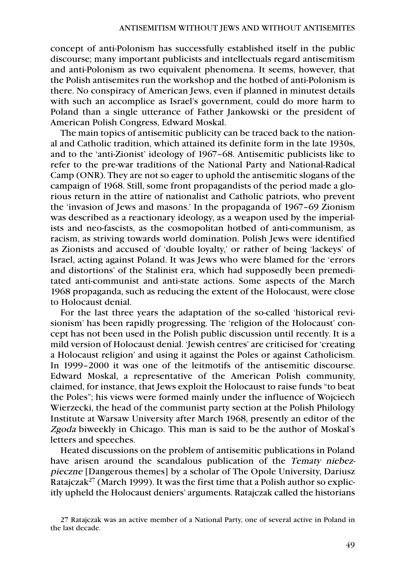concept of anti-Polonism has successfully established itself in the public discourse; many important publicists and intellectuals regard antisemitism and anti-Polonism as two equivalent phenomena. It seems, however, that the Polish antisemites run the workshop and the hotbed of anti-Polonism is there. No conspiracy of American Jews, even if planned in minutest details with such an accomplice as Israel's government, could do more harm to Poland than a single utterance of Father Jankowski or the president of American Polish Congress, Edward Moskal.

The main topics of antisemitic publicity can be traced back to the national and Catholic tradition, which attained its definite form in the late 1930s, and to the 'anti-Zionist' ideology of 1967–68. Antisemitic publicists like to refer to the pre-war traditions of the National Party and National-Radical Camp (ONR). They are not so eager to uphold the antisemitic slogans of the campaign of 1968. Still, some front propagandists of the period made a glorious return in the attire of nationalist and Catholic patriots, who prevent the 'invasion of Jews and masons.' In the propaganda of 1967–69 Zionism was described as a reactionary ideology, as a weapon used by the imperialists and neo-fascists, as the cosmopolitan hotbed of anti-communism, as racism, as striving towards world domination. Polish Jews were identified as Zionists and accused of 'double loyalty,' or rather of being 'lackeys' of Israel, acting against Poland. It was Jews who were blamed for the 'errors and distortions' of the Stalinist era, which had supposedly been premeditated anti-communist and anti-state actions. Some aspects of the March 1968 propaganda, such as reducing the extent of the Holocaust, were close to Holocaust denial.

For the last three years the adaptation of the so-called 'historical revisionism' has been rapidly progressing. The 'religion of the Holocaust' concept has not been used in the Polish public discussion until recently. It is a mild version of Holocaust denial. 'Jewish centres' are criticised for 'creating a Holocaust religion' and using it against the Poles or against Catholicism. In 1999–2000 it was one of the leitmotifs of the antisemitic discourse. Edward Moskal, a representative of the American Polish community, claimed, for instance, that Jews exploit the Holocaust to raise funds "to beat the Poles"; his views were formed mainly under the influence of Wojciech Wierzecki, the head of the communist party section at the Polish Philology Institute at Warsaw University after March 1968, presently an editor of the Zgoda biweekly in Chicago. This man is said to be the author of Moskal's letters and speeches.

Heated discussions on the problem of antisemitic publications in Poland have arisen around the scandalous publication of the Tematy niebezpieczne [Dangerous themes] by a scholar of The Opole University, Dariusz Ratajczak<sup>27</sup> (March 1999). It was the first time that a Polish author so explicitly upheld the Holocaust deniers' arguments. Ratajczak called the historians

<sup>27</sup> Ratajczak was an active member of a National Party, one of several active in Poland in the last decade.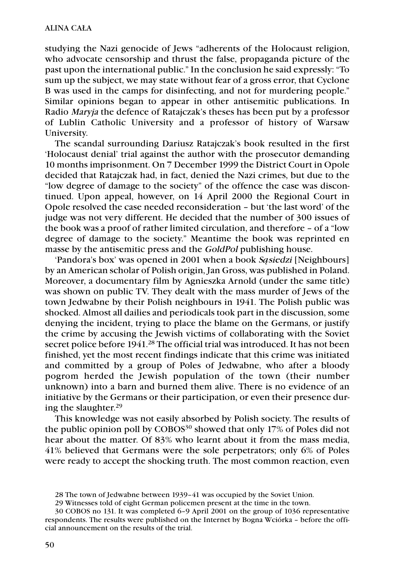studying the Nazi genocide of Jews "adherents of the Holocaust religion, who advocate censorship and thrust the false, propaganda picture of the past upon the international public." In the conclusion he said expressly: "To sum up the subject, we may state without fear of a gross error, that Cyclone B was used in the camps for disinfecting, and not for murdering people." Similar opinions began to appear in other antisemitic publications. In Radio Maryja the defence of Ratajczak's theses has been put by a professor of Lublin Catholic University and a professor of history of Warsaw University.

The scandal surrounding Dariusz Ratajczak's book resulted in the first 'Holocaust denial' trial against the author with the prosecutor demanding 10 months imprisonment. On 7 December 1999 the District Court in Opole decided that Ratajczak had, in fact, denied the Nazi crimes, but due to the "low degree of damage to the society" of the offence the case was discontinued. Upon appeal, however, on 14 April 2000 the Regional Court in Opole resolved the case needed reconsideration – but 'the last word' of the judge was not very different. He decided that the number of 300 issues of the book was a proof of rather limited circulation, and therefore – of a "low degree of damage to the society." Meantime the book was reprinted en masse by the antisemitic press and the GoldPol publishing house.

'Pandora's box' was opened in 2001 when a book S*ą*siedzi [Neighbours] by an American scholar of Polish origin, Jan Gross, was published in Poland. Moreover, a documentary film by Agnieszka Arnold (under the same title) was shown on public TV. They dealt with the mass murder of Jews of the town Jedwabne by their Polish neighbours in 1941. The Polish public was shocked. Almost all dailies and periodicals took part in the discussion, some denying the incident, trying to place the blame on the Germans, or justify the crime by accusing the Jewish victims of collaborating with the Soviet secret police before 1941.<sup>28</sup> The official trial was introduced. It has not been finished, yet the most recent findings indicate that this crime was initiated and committed by a group of Poles of Jedwabne, who after a bloody pogrom herded the Jewish population of the town (their number unknown) into a barn and burned them alive. There is no evidence of an initiative by the Germans or their participation, or even their presence during the slaughter. 29

This knowledge was not easily absorbed by Polish society. The results of the public opinion poll by COBOS<sup>30</sup> showed that only 17% of Poles did not hear about the matter. Of 83% who learnt about it from the mass media, 41% believed that Germans were the sole perpetrators; only 6% of Poles were ready to accept the shocking truth. The most common reaction, even

<sup>28</sup> The town of Jedwabne between 1939–41 was occupied by the Soviet Union.

<sup>29</sup> Witnesses told of eight German policemen present at the time in the town.

<sup>30</sup> COBOS no 131. It was completed 6–9 April 2001 on the group of 1036 representative respondents. The results were published on the Internet by Bogna Wciórka – before the official announcement on the results of the trial.